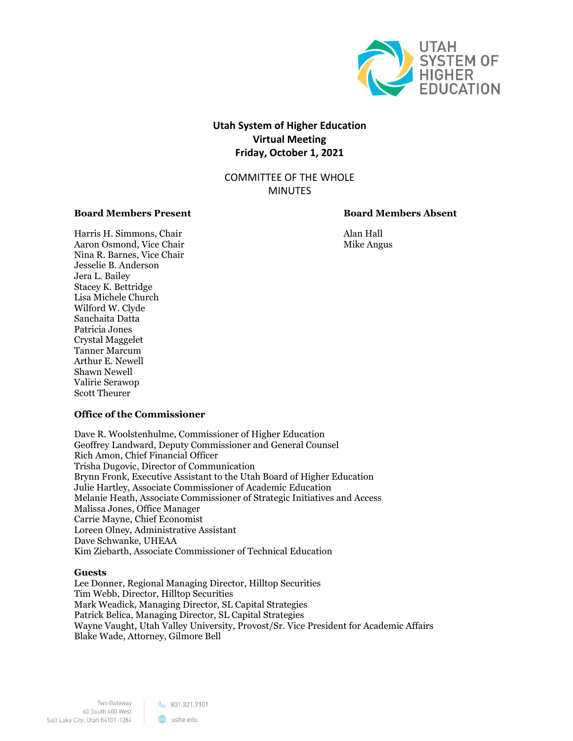

# **Utah System of Higher Education Virtual Meeting Friday, October 1, 2021**

COMMITTEE OF THE WHOLE MINUTES

# **Board Members Present Board Members Absent**

Harris H. Simmons, Chair Alan Hall Aaron Osmond, Vice Chair Mike Angus Nina R. Barnes, Vice Chair Jesselie B. Anderson Jera L. Bailey Stacey K. Bettridge Lisa Michele Church Wilford W. Clyde Sanchaita Datta Patricia Jones Crystal Maggelet Tanner Marcum Arthur E. Newell Shawn Newell Valirie Serawop Scott Theurer

# **Office of the Commissioner**

Dave R. Woolstenhulme, Commissioner of Higher Education Geoffrey Landward, Deputy Commissioner and General Counsel Rich Amon, Chief Financial Officer Trisha Dugovic, Director of Communication Brynn Fronk, Executive Assistant to the Utah Board of Higher Education Julie Hartley, Associate Commissioner of Academic Education Melanie Heath, Associate Commissioner of Strategic Initiatives and Access Malissa Jones, Office Manager Carrie Mayne, Chief Economist Loreen Olney, Administrative Assistant Dave Schwanke, UHEAA Kim Ziebarth, Associate Commissioner of Technical Education

#### **Guests**

Lee Donner, Regional Managing Director, Hilltop Securities Tim Webb, Director, Hilltop Securities Mark Weadick, Managing Director, SL Capital Strategies Patrick Belica, Managing Director, SL Capital Strategies Wayne Vaught, Utah Valley University, Provost/Sr. Vice President for Academic Affairs Blake Wade, Attorney, Gilmore Bell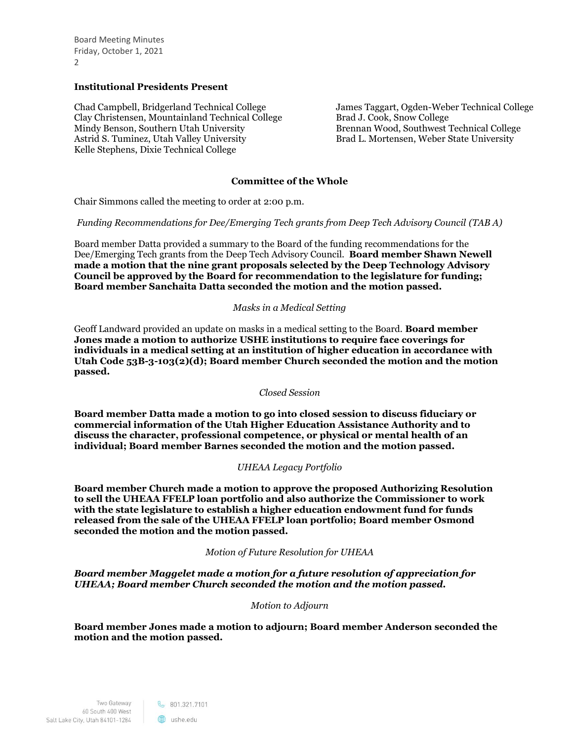Board Meeting Minutes Friday, October 1, 2021  $\mathcal{L}$ 

# **Institutional Presidents Present**

Chad Campbell, Bridgerland Technical College Clay Christensen, Mountainland Technical College Mindy Benson, Southern Utah University Astrid S. Tuminez, Utah Valley University Kelle Stephens, Dixie Technical College

James Taggart, Ogden-Weber Technical College Brad J. Cook, Snow College Brennan Wood, Southwest Technical College Brad L. Mortensen, Weber State University

# **Committee of the Whole**

Chair Simmons called the meeting to order at 2:00 p.m.

*Funding Recommendations for Dee/Emerging Tech grants from Deep Tech Advisory Council (TAB A)*

Board member Datta provided a summary to the Board of the funding recommendations for the Dee/Emerging Tech grants from the Deep Tech Advisory Council. **Board member Shawn Newell made a motion that the nine grant proposals selected by the Deep Technology Advisory Council be approved by the Board for recommendation to the legislature for funding; Board member Sanchaita Datta seconded the motion and the motion passed.** 

# *Masks in a Medical Setting*

Geoff Landward provided an update on masks in a medical setting to the Board. **Board member Jones made a motion to authorize USHE institutions to require face coverings for individuals in a medical setting at an institution of higher education in accordance with Utah Code 53B-3-103(2)(d); Board member Church seconded the motion and the motion passed.**

*Closed Session*

**Board member Datta made a motion to go into closed session to discuss fiduciary or commercial information of the Utah Higher Education Assistance Authority and to discuss the character, professional competence, or physical or mental health of an individual; Board member Barnes seconded the motion and the motion passed.**

#### *UHEAA Legacy Portfolio*

**Board member Church made a motion to approve the proposed Authorizing Resolution to sell the UHEAA FFELP loan portfolio and also authorize the Commissioner to work with the state legislature to establish a higher education endowment fund for funds released from the sale of the UHEAA FFELP loan portfolio; Board member Osmond seconded the motion and the motion passed.**

*Motion of Future Resolution for UHEAA*

*Board member Maggelet made a motion for a future resolution of appreciation for UHEAA; Board member Church seconded the motion and the motion passed.* 

#### *Motion to Adjourn*

**Board member Jones made a motion to adjourn; Board member Anderson seconded the motion and the motion passed.**